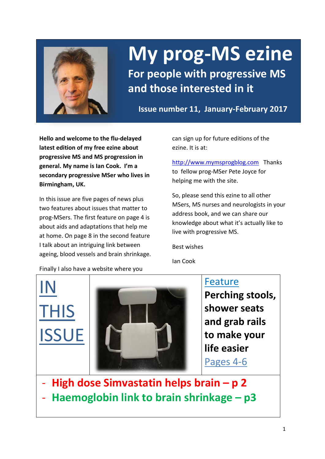

# **My prog-MS ezine**

**For people with progressive MS and those interested in it**

**Issue number 11, January-February 2017**

**Hello and welcome to the flu-delayed latest edition of my free ezine about progressive MS and MS progression in general. My name is Ian Cook. I'm a secondary progressive MSer who lives in Birmingham, UK.** 

In this issue are five pages of news plus two features about issues that matter to prog-MSers. The first feature on page 4 is about aids and adaptations that help me at home. On page 8 in the second feature I talk about an intriguing link between ageing, blood vessels and brain shrinkage. can sign up for future editions of the ezine. It is at:

[http://www.mymsprogblog.com](http://www.mymsprogblog.com/) Thanks to fellow prog-MSer Pete Joyce for helping me with the site.

So, please send this ezine to all other MSers, MS nurses and neurologists in your address book, and we can share our knowledge about what it's actually like to live with progressive MS.

Best wishes

Ian Cook

Finally I also have a website where you

IN THIS **ISSUE** 



Feature **Perching stools, shower seats and grab rails to make your life easier**  Pages 4-6

- **High dose Simvastatin helps brain – p 2**
- **Haemoglobin link to brain shrinkage – p3**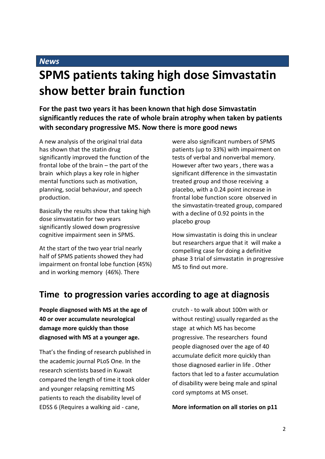### **SPMS patients taking high dose Simvastatin show better brain function**

**For the past two years it has been known that high dose Simvastatin significantly reduces the rate of whole brain atrophy when taken by patients with secondary progressive MS. Now there is more good news**

A new analysis of the original trial data has shown that the statin drug significantly improved the function of the frontal lobe of the brain – the part of the brain which plays a key role in higher mental functions such as motivation, planning, social behaviour, and speech production.

Basically the results show that taking high dose simvastatin for two years significantly slowed down progressive cognitive impairment seen in SPMS.

At the start of the two year trial nearly half of SPMS patients showed they had impairment on frontal lobe function (45%) and in working memory (46%). There

were also significant numbers of SPMS patients (up to 33%) with impairment on tests of verbal and nonverbal memory. However after two years , there was a significant difference in the simvastatin treated group and those receiving a placebo, with a 0.24 point increase in frontal lobe function score observed in the simvastatin-treated group, compared with a decline of 0.92 points in the placebo group

How simvastatin is doing this in unclear but researchers argue that it will make a compelling case for doing a definitive phase 3 trial of simvastatin in progressive MS to find out more.

### **Time to progression varies according to age at diagnosis**

**People diagnosed with MS at the age of 40 or over accumulate neurological damage more quickly than those diagnosed with MS at a younger age.**

That's the finding of research published in the academic journal PLoS One. In the research scientists based in Kuwait compared the length of time it took older and younger relapsing remitting MS patients to reach the disability level of EDSS 6 (Requires a walking aid - cane,

crutch - to walk about 100m with or without resting) usually regarded as the stage at which MS has become progressive. The researchers found people diagnosed over the age of 40 accumulate deficit more quickly than those diagnosed earlier in life . Other factors that led to a faster accumulation of disability were being male and spinal cord symptoms at MS onset.

### **More information on all stories on p11**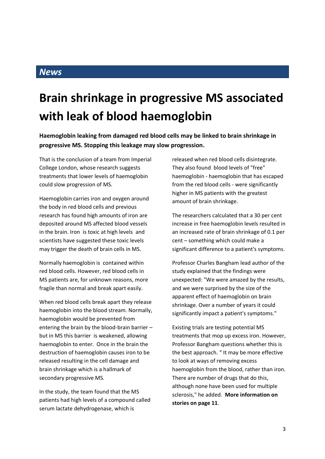## **Brain shrinkage in progressive MS associated with leak of blood haemoglobin**

**Haemoglobin leaking from damaged red blood cells may be linked to brain shrinkage in progressive MS. Stopping this leakage may slow progression.**

That is the conclusion of a team from Imperial College London, whose research suggests treatments that lower levels of haemoglobin could slow progression of MS.

Haemoglobin carries iron and oxygen around the body in red blood cells and previous research has found high amounts of iron are deposited around MS affected blood vessels in the brain. Iron is toxic at high levels and scientists have suggested these toxic levels may trigger the death of brain cells in MS.

Normally haemoglobin is contained within red blood cells. However, red blood cells in MS patients are, for unknown reasons, more fragile than normal and break apart easily.

When red blood cells break apart they release haemoglobin into the blood stream. Normally, haemoglobin would be prevented from entering the brain by the blood-brain barrier – but in MS this barrier is weakened, allowing haemoglobin to enter. Once in the brain the destruction of haemoglobin causes iron to be released resulting in the cell damage and brain shrinkage which is a hallmark of secondary progressive MS.

In the study, the team found that the MS patients had high levels of a compound called serum lactate dehydrogenase, which is

released when red blood cells disintegrate. They also found blood levels of "free" haemoglobin - haemoglobin that has escaped from the red blood cells - were significantly higher in MS patients with the greatest amount of brain shrinkage.

The researchers calculated that a 30 per cent increase in free haemoglobin levels resulted in an increased rate of brain shrinkage of 0.1 per cent – something which could make a significant difference to a patient's symptoms.

Professor Charles Bangham lead author of the study explained that the findings were unexpected: "We were amazed by the results, and we were surprised by the size of the apparent effect of haemoglobin on brain shrinkage. Over a number of years it could significantly impact a patient's symptoms."

Existing trials are testing potential MS treatments that mop up excess iron. However, Professor Bangham questions whether this is the best approach. " It may be more effective to look at ways of removing excess haemoglobin from the blood, rather than iron. There are number of drugs that do this, although none have been used for multiple sclerosis," he added. **More information on stories on page 11**.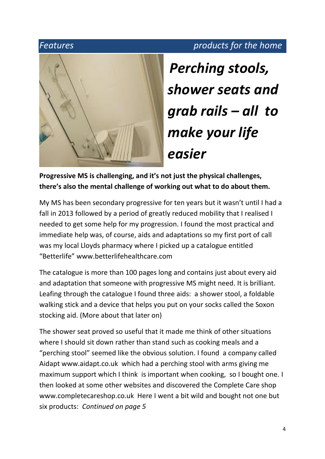### *Features products for the home*



*Perching stools, shower seats and grab rails – all to make your life easier* 

**Progressive MS is challenging, and it's not just the physical challenges, there's also the mental challenge of working out what to do about them.**

My MS has been secondary progressive for ten years but it wasn't until I had a fall in 2013 followed by a period of greatly reduced mobility that I realised I needed to get some help for my progression. I found the most practical and immediate help was, of course, aids and adaptations so my first port of call was my local Lloyds pharmacy where I picked up a catalogue entitled "Betterlife" www.betterlifehealthcare.com

The catalogue is more than 100 pages long and contains just about every aid and adaptation that someone with progressive MS might need. It is brilliant. Leafing through the catalogue I found three aids: a shower stool, a foldable walking stick and a device that helps you put on your socks called the Soxon stocking aid. (More about that later on)

The shower seat proved so useful that it made me think of other situations where I should sit down rather than stand such as cooking meals and a "perching stool" seemed like the obvious solution. I found a company called Aidapt www.aidapt.co.uk which had a perching stool with arms giving me maximum support which I think is important when cooking, so I bought one. I then looked at some other websites and discovered the Complete Care shop www.completecareshop.co.uk Here I went a bit wild and bought not one but six products: *Continued on page 5*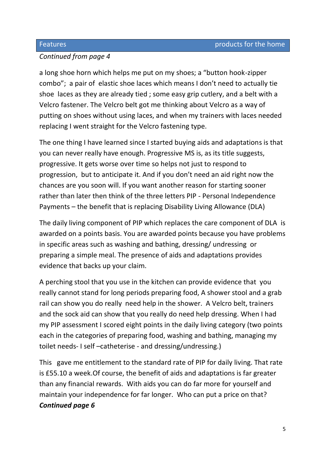### *Continued from page 4*

a long shoe horn which helps me put on my shoes; a "button hook-zipper combo"; a pair of elastic shoe laces which means I don't need to actually tie shoe laces as they are already tied ; some easy grip cutlery, and a belt with a Velcro fastener. The Velcro belt got me thinking about Velcro as a way of putting on shoes without using laces, and when my trainers with laces needed replacing I went straight for the Velcro fastening type.

The one thing I have learned since I started buying aids and adaptations is that you can never really have enough. Progressive MS is, as its title suggests, progressive. It gets worse over time so helps not just to respond to progression, but to anticipate it. And if you don't need an aid right now the chances are you soon will. If you want another reason for starting sooner rather than later then think of the three letters PIP - Personal Independence Payments – the benefit that is replacing Disability Living Allowance (DLA)

The daily living component of PIP which replaces the care component of DLA is awarded on a points basis. You are awarded points because you have problems in specific areas such as washing and bathing, dressing/ undressing or preparing a simple meal. The presence of aids and adaptations provides evidence that backs up your claim.

A perching stool that you use in the kitchen can provide evidence that you really cannot stand for long periods preparing food, A shower stool and a grab rail can show you do really need help in the shower. A Velcro belt, trainers and the sock aid can show that you really do need help dressing. When I had my PIP assessment I scored eight points in the daily living category (two points each in the categories of preparing food, washing and bathing, managing my toilet needs- I self –catheterise - and dressing/undressing.)

This gave me entitlement to the standard rate of PIP for daily living. That rate is £55.10 a week.Of course, the benefit of aids and adaptations is far greater than any financial rewards. With aids you can do far more for yourself and maintain your independence for far longer. Who can put a price on that? *Continued page 6*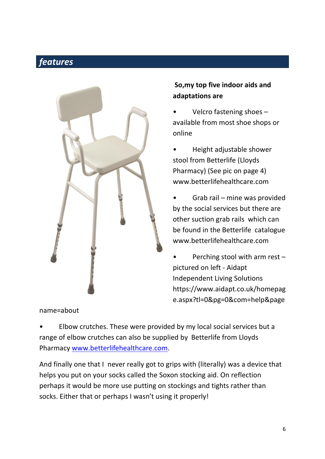### *features* ٦



name=about

### **So,my top five indoor aids and adaptations are**

- Velcro fastening shoes available from most shoe shops or online
- Height adjustable shower stool from Betterlife (Lloyds Pharmacy) (See pic on page 4) www.betterlifehealthcare.com
- Grab rail mine was provided by the social services but there are other suction grab rails which can be found in the Betterlife catalogue www.betterlifehealthcare.com
- Perching stool with arm rest  $$ pictured on left - Aidapt Independent Living Solutions https://www.aidapt.co.uk/homepag e.aspx?tl=0&pg=0&com=help&page

• Elbow crutches. These were provided by my local social services but a range of elbow crutches can also be supplied by Betterlife from Lloyds Pharmacy [www.betterlifehealthcare.com.](http://www.betterlifehealthcare.com/)

And finally one that I never really got to grips with (literally) was a device that helps you put on your socks called the Soxon stocking aid. On reflection perhaps it would be more use putting on stockings and tights rather than socks. Either that or perhaps I wasn't using it properly!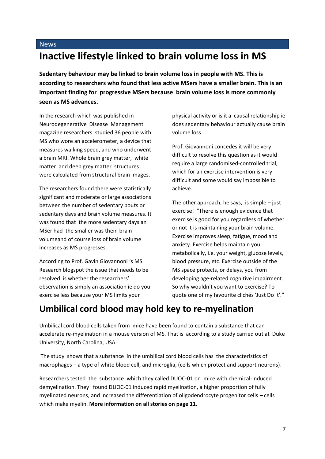### **Inactive lifestyle linked to brain volume loss in MS**

**Sedentary behaviour may be linked to brain volume loss in people with MS. This is according to researchers who found that less active MSers have a smaller brain. This is an important finding for progressive MSers because brain volume loss is more commonly seen as MS advances.**

In the research which was published in Neurodegenerative Disease Management magazine researchers studied 36 people with MS who wore an accelerometer, a device that measures walking speed, and who underwent a brain MRI. Whole brain grey matter, white matter and deep grey matter structures were calculated from structural brain images.

The researchers found there were statistically significant and moderate or large associations between the number of sedentary bouts or sedentary days and brain volume measures. It was found that the more sedentary days an MSer had the smaller was their brain volumeand of course loss of brain volume increases as MS progresses.

According to Prof. Gavin Giovannoni 's MS Research blogspot the issue that needs to be resolved is whether the researchers' observation is simply an association ie do you exercise less because your MS limits your

physical activity or is it a causal relationship ie does sedentary behaviour actually cause brain volume loss.

Prof. Giovannoni concedes it will be very difficult to resolve this question as it would require a large randomised-controlled trial, which for an exercise intervention is very difficult and some would say impossible to achieve.

The other approach, he says, is simple  $-$  just exercise! "There is enough evidence that exercise is good for you regardless of whether or not it is maintaining your brain volume. Exercise improves sleep, fatigue, mood and anxiety. Exercise helps maintain you metabolically, i.e. your weight, glucose levels, blood pressure, etc. Exercise outside of the MS space protects, or delays, you from developing age-related cognitive impairment. So why wouldn't you want to exercise? To quote one of my favourite clichés 'Just Do It'."

### **Umbilical cord blood may hold key to re-myelination**

Umbilical cord blood cells taken from mice have been found to contain a substance that can accelerate re-myelination in a mouse version of MS. That is according to a study carried out at Duke University, North Carolina, USA.

The study shows that a substance in the umbilical cord blood cells has the characteristics of macrophages – a type of white blood cell, and microglia, (cells which protect and support neurons).

Researchers tested the substance which they called DUOC-01 on mice with chemical-induced demyelination. They found DUOC-01 induced rapid myelination, a higher proportion of fully myelinated neurons, and increased the differentiation of oligodendrocyte progenitor cells – cells which make myelin. **More information on all stories on page 11.**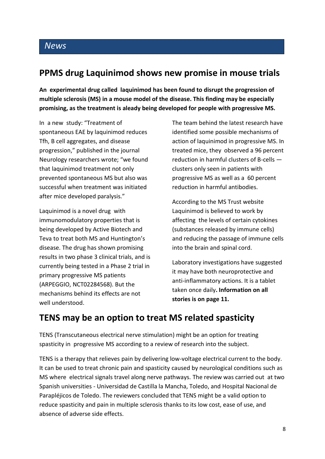### **PPMS drug Laquinimod shows new promise in mouse trials**

**An experimental drug called laquinimod has been found to disrupt the progression of multiple sclerosis (MS) in a mouse model of the disease. This finding may be especially promising, as the treatment is aleady being developed for people with progressive MS.**

In a new study: "Treatment of spontaneous EAE by laquinimod reduces Tfh, B cell aggregates, and disease progression," published in the journal Neurology researchers wrote; "we found that laquinimod treatment not only prevented spontaneous MS but also was successful when treatment was initiated after mice developed paralysis."

Laquinimod is a novel drug with immunomodulatory properties that is being developed by Active Biotech and Teva to treat both MS and Huntington's disease. The drug has shown promising results in two phase 3 clinical trials, and is currently being tested in a Phase 2 trial in primary progressive MS patients (ARPEGGIO, NCT02284568). But the mechanisms behind its effects are not well understood.

The team behind the latest research have identified some possible mechanisms of action of laquinimod in progressive MS. In treated mice, they observed a 96 percent reduction in harmful clusters of B-cells clusters only seen in patients with progressive MS as well as a 60 percent reduction in harmful antibodies.

According to the MS Trust website Laquinimod is believed to work by affecting the levels of certain cytokines (substances released by immune cells) and reducing the passage of immune cells into the brain and spinal cord.

Laboratory investigations have suggested it may have both neuroprotective and anti-inflammatory actions. It is a tablet taken once daily**. Information on all stories is on page 11.**

### **TENS may be an option to treat MS related spasticity**

TENS (Transcutaneous electrical nerve stimulation) might be an option for treating spasticity in progressive MS according to a review of research into the subject.

TENS is a therapy that relieves pain by delivering low-voltage electrical current to the body. It can be used to treat chronic pain and spasticity caused by neurological conditions such as MS where electrical signals travel along nerve pathways. The review was carried out at two Spanish universities - Universidad de Castilla la Mancha, Toledo, and Hospital Nacional de Parapléjicos de Toledo. The reviewers concluded that TENS might be a valid option to reduce spasticity and pain in multiple sclerosis thanks to its low cost, ease of use, and absence of adverse side effects.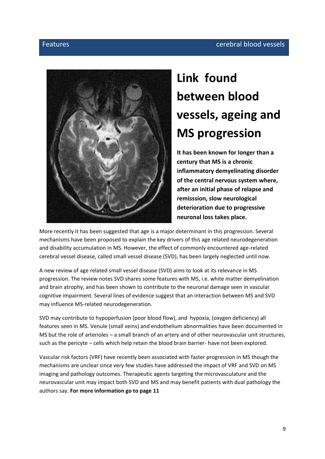### Features cerebral blood vessels



## **Link found between blood vessels, ageing and MS progression**

**It has been known for longer than a century that MS is a chronic inflammatory demyelinating disorder of the central nervous system where, after an initial phase of relapse and remisssion, slow neurological deterioration due to progressive neuronal loss takes place.** 

More recently it has been suggested that age is a major determinant in this progression. Several mechanisms have been proposed to explain the key drivers of this age related neurodegeneration and disability accumulation in MS. However, the effect of commonly encountered age-related cerebral vessel disease, called small vessel disease (SVD), has been largely neglected until now.

A new review of age related small vessel disease (SVD) aims to look at its relevance in MS progression. The review notes SVD shares some features with MS, i.e. white matter demyelination and brain atrophy, and has been shown to contribute to the neuronal damage seen in vascular cognitive impairment. Several lines of evidence suggest that an interaction between MS and SVD may influence MS-related neurodegeneration.

SVD may contribute to hypoperfusion (poor blood flow), and hypoxia, (oxygen deficiency) all features seen in MS. Venule (small veins) and endothelium abnormalities have been documented in MS but the role of arterioles – a small branch of an artery and of other neurovascular unit structures, such as the pericyte – cells which help retain the blood brain barrier- have not been explored.

Vascular risk factors (VRF) have recently been associated with faster progression in MS though the mechanisms are unclear since very few studies have addressed the impact of VRF and SVD on MS imaging and pathology outcomes. Therapeutic agents targeting the microvasculature and the neurovascular unit may impact both SVD and MS and may benefit patients with dual pathology the authors say. **For more information go to page 11**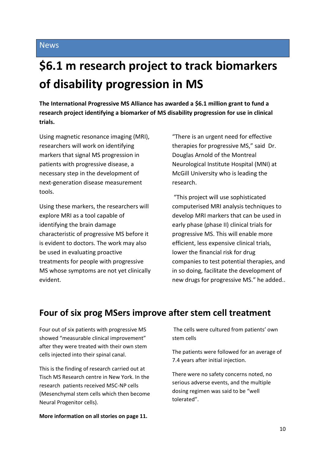## **\$6.1 m research project to track biomarkers of disability progression in MS**

**The International Progressive MS Alliance has awarded a \$6.1 million grant to fund a research project identifying a biomarker of MS disability progression for use in clinical trials.**

Using magnetic resonance imaging (MRI), researchers will work on identifying markers that signal MS progression in patients with progressive disease, a necessary step in the development of next-generation disease measurement tools.

Using these markers, the researchers will explore MRI as a tool capable of identifying the brain damage characteristic of progressive MS before it is evident to doctors. The work may also be used in evaluating proactive treatments for people with progressive MS whose symptoms are not yet clinically evident.

"There is an urgent need for effective therapies for progressive MS," said Dr. Douglas Arnold of the Montreal Neurological Institute Hospital (MNI) at McGill University who is leading the research.

"This project will use sophisticated computerised MRI analysis techniques to develop MRI markers that can be used in early phase (phase II) clinical trials for progressive MS. This will enable more efficient, less expensive clinical trials, lower the financial risk for drug companies to test potential therapies, and in so doing, facilitate the development of new drugs for progressive MS." he added..

### **Four of six prog MSers improve after stem cell treatment**

Four out of six patients with progressive MS showed "measurable clinical improvement" after they were treated with their own stem cells injected into their spinal canal.

This is the finding of research carried out at Tisch MS Research centre in New York. In the research patients received MSC-NP cells (Mesenchymal stem cells which then become Neural Progenitor cells).

**More information on all stories on page 11.**

The cells were cultured from patients' own stem cells

The patients were followed for an average of 7.4 years after initial injection.

There were no safety concerns noted, no serious adverse events, and the multiple dosing regimen was said to be "well tolerated".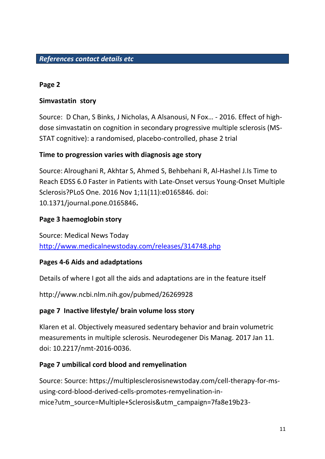### **Page 2**

### **Simvastatin story**

Source: D Chan, S Binks, J Nicholas, A Alsanousi, N Fox… - 2016. Effect of highdose simvastatin on cognition in secondary progressive multiple sclerosis (MS-STAT cognitive): a randomised, placebo-controlled, phase 2 trial

### **Time to progression varies with diagnosis age story**

Source: Alroughani R, Akhtar S, Ahmed S, Behbehani R, Al-Hashel J.Is Time to Reach EDSS 6.0 Faster in Patients with Late-Onset versus Young-Onset Multiple Sclerosis?PLoS One. 2016 Nov 1;11(11):e0165846. doi: 10.1371/journal.pone.0165846**.**

### **Page 3 haemoglobin story**

Source: Medical News Today <http://www.medicalnewstoday.com/releases/314748.php>

### **Pages 4-6 Aids and adadptations**

Details of where I got all the aids and adaptations are in the feature itself

http://www.ncbi.nlm.nih.gov/pubmed/26269928

### **page 7 Inactive lifestyle/ brain volume loss story**

Klaren et al. Objectively measured sedentary behavior and brain volumetric measurements in multiple sclerosis. Neurodegener Dis Manag. 2017 Jan 11. doi: 10.2217/nmt-2016-0036.

### **Page 7 umbilical cord blood and remyelination**

Source: Source: https://multiplesclerosisnewstoday.com/cell-therapy-for-msusing-cord-blood-derived-cells-promotes-remyelination-inmice?utm\_source=Multiple+Sclerosis&utm\_campaign=7fa8e19b23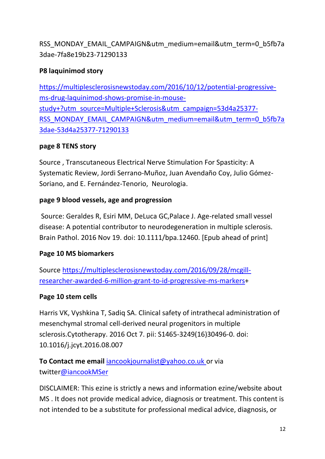RSS MONDAY EMAIL CAMPAIGN&utm\_medium=email&utm\_term=0\_b5fb7a 3dae-7fa8e19b23-71290133

### **P8 laquinimod story**

[https://multiplesclerosisnewstoday.com/2016/10/12/potential-progressive](https://multiplesclerosisnewstoday.com/2016/10/12/potential-progressive-ms-drug-laquinimod-shows-promise-in-mouse-study+?utm_source=Multiple+Sclerosis&utm_campaign=53d4a25377-RSS_MONDAY_EMAIL_CAMPAIGN&utm_medium=email&utm_term=0_b5fb7a3dae-53d4a25377-71290133)[ms-drug-laquinimod-shows-promise-in-mouse](https://multiplesclerosisnewstoday.com/2016/10/12/potential-progressive-ms-drug-laquinimod-shows-promise-in-mouse-study+?utm_source=Multiple+Sclerosis&utm_campaign=53d4a25377-RSS_MONDAY_EMAIL_CAMPAIGN&utm_medium=email&utm_term=0_b5fb7a3dae-53d4a25377-71290133)[study+?utm\\_source=Multiple+Sclerosis&utm\\_campaign=53d4a25377-](https://multiplesclerosisnewstoday.com/2016/10/12/potential-progressive-ms-drug-laquinimod-shows-promise-in-mouse-study+?utm_source=Multiple+Sclerosis&utm_campaign=53d4a25377-RSS_MONDAY_EMAIL_CAMPAIGN&utm_medium=email&utm_term=0_b5fb7a3dae-53d4a25377-71290133) [RSS\\_MONDAY\\_EMAIL\\_CAMPAIGN&utm\\_medium=email&utm\\_term=0\\_b5fb7a](https://multiplesclerosisnewstoday.com/2016/10/12/potential-progressive-ms-drug-laquinimod-shows-promise-in-mouse-study+?utm_source=Multiple+Sclerosis&utm_campaign=53d4a25377-RSS_MONDAY_EMAIL_CAMPAIGN&utm_medium=email&utm_term=0_b5fb7a3dae-53d4a25377-71290133) [3dae-53d4a25377-71290133](https://multiplesclerosisnewstoday.com/2016/10/12/potential-progressive-ms-drug-laquinimod-shows-promise-in-mouse-study+?utm_source=Multiple+Sclerosis&utm_campaign=53d4a25377-RSS_MONDAY_EMAIL_CAMPAIGN&utm_medium=email&utm_term=0_b5fb7a3dae-53d4a25377-71290133)

### **page 8 TENS story**

Source , Transcutaneous Electrical Nerve Stimulation For Spasticity: A Systematic Review, Jordi Serrano-Muñoz, Juan Avendaño Coy, Julio Gómez-Soriano, and E. Fernández-Tenorio, Neurologia.

### **page 9 blood vessels, age and progression**

Source: Geraldes R, Esiri MM, DeLuca GC,Palace J. Age-related small vessel disease: A potential contributor to neurodegeneration in multiple sclerosis. Brain Pathol. 2016 Nov 19. doi: 10.1111/bpa.12460. [Epub ahead of print]

### **Page 10 MS biomarkers**

Source [https://multiplesclerosisnewstoday.com/2016/09/28/mcgill](https://multiplesclerosisnewstoday.com/2016/09/28/mcgill-researcher-awarded-6-million-grant-to-id-progressive-ms-markers)[researcher-awarded-6-million-grant-to-id-progressive-ms-markers+](https://multiplesclerosisnewstoday.com/2016/09/28/mcgill-researcher-awarded-6-million-grant-to-id-progressive-ms-markers)

### **Page 10 stem cells**

Harris VK, Vyshkina T, Sadiq SA. Clinical safety of intrathecal administration of mesenchymal stromal cell-derived neural progenitors in multiple sclerosis.Cytotherapy. 2016 Oct 7. pii: S1465-3249(16)30496-0. doi: 10.1016/j.jcyt.2016.08.007

### **To Contact me email** [iancookjournalist@yahoo.co.uk or via](mailto:iancookjournalist@yahoo.co.uk%20or%20via%20twitter@iancookMSer) [twitter@iancookMSer](mailto:iancookjournalist@yahoo.co.uk%20or%20via%20twitter@iancookMSer)

DISCLAIMER: This ezine is strictly a news and information ezine/website about MS . It does not provide medical advice, diagnosis or treatment. This content is not intended to be a substitute for professional medical advice, diagnosis, or